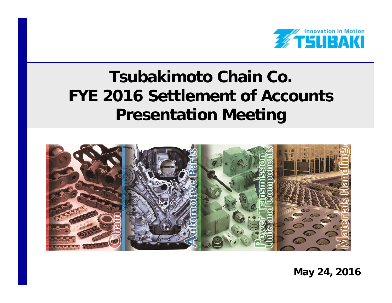

# **Tsubakimoto Chain Co. FYE 2016 Settlement of Accounts Presentation Meeting**



**May 24, 2016**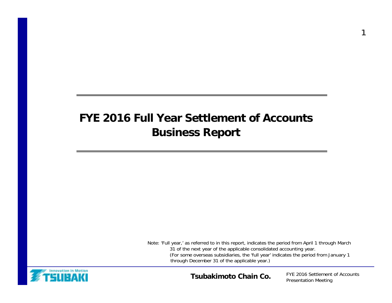## **FYE 2016 Full Year Settlement of AccountsBusiness Report**

Note: 'Full year,' as referred to in this report, indicates the period from April 1 through March 31 of the next year of the applicable consolidated accounting year. (For some overseas subsidiaries, the 'full year' indicates the period from January 1 through December 31 of the applicable year.)



**Tsubakimoto Chain Co.**

FYE 2016 Settlement of Accounts Presentation Meeting

1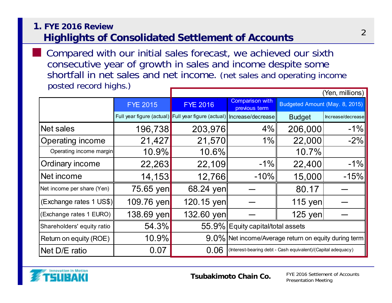### **1. FYE 2016 ReviewHighlights of Consolidated Settlement of Accounts**

 $(Van$  millions) Compared with our initial sales forecast, we achieved our sixth consecutive year of growth in sales and income despite some shortfall in net sales and net income. (net sales and operating income posted record highs.)

|                            |                 | ( TCH, HHIIIUIS <i>)</i>                                              |                                                              |                                |                   |  |  |
|----------------------------|-----------------|-----------------------------------------------------------------------|--------------------------------------------------------------|--------------------------------|-------------------|--|--|
|                            | <b>FYE 2015</b> | <b>FYE 2016</b>                                                       | <b>Comparison with</b><br>previous term                      | Budgeted Amount (May. 8, 2015) |                   |  |  |
|                            |                 | Full year figure (actual) Full year figure (actual) Increase/decrease |                                                              | <b>Budget</b>                  | Increase/decrease |  |  |
| Net sales                  | 196,738         | 203,976                                                               | 4%                                                           | 206,000                        | $-1%$             |  |  |
| <b>Operating income</b>    | 21,427          | 21,570                                                                | $1\%$                                                        | 22,000                         | $-2%$             |  |  |
| Operating income margin    | 10.9%           | 10.6%                                                                 |                                                              | 10.7%                          |                   |  |  |
| Ordinary income            | 22,263          | 22,109                                                                | $-1\%$                                                       | 22,400                         | $-1%$             |  |  |
| Net income                 | 14,153          | 12,766                                                                | $-10\%$                                                      | 15,000                         | $-15%$            |  |  |
| Net income per share (Yen) | 75.65 yen       | 68.24 yen                                                             |                                                              | 80.17                          |                   |  |  |
| (Exchange rates 1 US\$)    | 109.76 yen      | 120.15 yen                                                            |                                                              | 115 yen                        |                   |  |  |
| (Exchange rates 1 EURO)    | 138.69 yen      | 132.60 yen                                                            |                                                              | 125 yen                        |                   |  |  |
| Shareholders' equity ratio | 54.3%           |                                                                       | 55.9% Equity capital/total assets                            |                                |                   |  |  |
| Return on equity (ROE)     | 10.9%           |                                                                       | 9.0% Net income/Average return on equity during term         |                                |                   |  |  |
| Net D/E ratio              | 0.07            | 0.06                                                                  | (Interest-bearing debt - Cash equivalent)/(Capital adequacy) |                                |                   |  |  |



■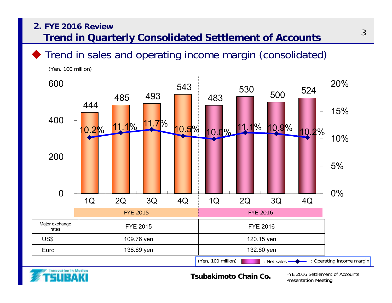## **2. FYE 2016 Review**

**Trend in Quarterly Consolidated Settlement of Accounts**

Trend in sales and operating income margin (consolidated)



(Yen, 100 million)



**Tsubakimoto Chain Co.**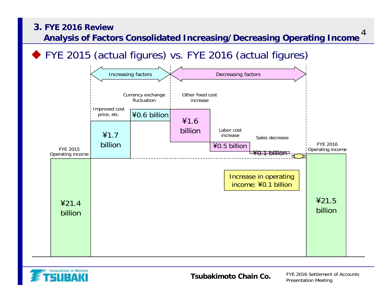

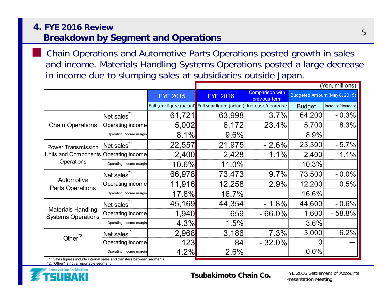#### **4. FYE 2016 ReviewBreakdown by Segment and Operations**

 Chain Operations and Automotive Parts Operations posted growth in sales and income. Materials Handling Systems Operations posted a large decrease in income due to slumping sales at subsidiaries outside Japan.

|                                                        |                         |                 | (Yen, millions)                                     |                                         |                               |                   |  |  |
|--------------------------------------------------------|-------------------------|-----------------|-----------------------------------------------------|-----------------------------------------|-------------------------------|-------------------|--|--|
|                                                        |                         | <b>FYE 2015</b> | <b>FYE 2016</b>                                     | <b>Comparison with</b><br>previous term | Budgeted Amount (May 8, 2015) |                   |  |  |
|                                                        |                         |                 | Full year figure (actual) Full year figure (actual) | Increase/decrease                       | <b>Budget</b>                 | Increase/decrease |  |  |
|                                                        | Net sales <sup>*1</sup> | 61,721          | 63,998                                              | $3.7\%$                                 | 64,200                        | $-0.3%$           |  |  |
| <b>Chain Operations</b>                                | Operating income        | 5,002           | 6,172                                               | 23.4%                                   | 5,700                         | 8.3%              |  |  |
|                                                        | Operating income margin | 8.1%            | 9.6%                                                |                                         | 8.9%                          |                   |  |  |
| <b>Power Transmission</b>                              | Net sales <sup>*1</sup> | 22,557          | 21,975                                              | $-2.6\%$                                | 23,300                        | $-5.7%$           |  |  |
| Units and Components Operating income                  |                         | 2,400           | 2,428                                               | $1.1\%$                                 | 2,400                         | 1.1%              |  |  |
| Operations                                             | Operating income margin | 10.6%           | 11.0%                                               |                                         | 10.3%                         |                   |  |  |
|                                                        | Net sales <sup>1</sup>  | 66,978          | 73,473                                              | $9.7\%$                                 | 73,500                        | $-0.0%$           |  |  |
| Automotive<br><b>Parts Operations</b>                  | Operating income        | 11,916          | 12,258                                              | 2.9%                                    | 12,200                        | 0.5%              |  |  |
|                                                        | Operating income margin | 17.8%           | 16.7%                                               |                                         | 16.6%                         |                   |  |  |
|                                                        | Net sales <sup>*1</sup> | 45,169          | 44,354                                              | $-1.8\%$                                | 44,600                        | $-0.6%$           |  |  |
| <b>Materials Handling</b><br><b>Systems Operations</b> | Operating income        | 1,940           | 659                                                 | $-66.0\%$                               | 1,600                         | $-58.8%$          |  |  |
|                                                        | Operating income margin | 4.3%            | 1.5%                                                |                                         | 3.6%                          |                   |  |  |
| Other <sup>*2</sup>                                    | Net sales <sup>1</sup>  | 2,968           | 3,186                                               | 7.3%                                    | 3,000                         | 6.2%              |  |  |
|                                                        | Operating income        | 123             | 84                                                  | $-32.0%$                                | 0                             |                   |  |  |
|                                                        | Operating income margin | 4.2%            | 2.6%                                                |                                         | 0.0%                          |                   |  |  |

\*1: Sales figures include internal sales and transfers between segments.

\*2: "Other" is not a reportable segment.



■

**Tsubakimoto Chain Co.**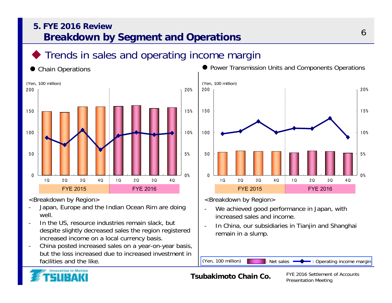### **5. FYE 2016 ReviewBreakdown by Segment and Operations**

## Trends in sales and operating income margin

#### 0



<Breakdown by Region>

- - Japan, Europe and the Indian Ocean Rim are doing well.
- In the US, resource industries remain slack, but despite slightly decreased sales the region registered increased income on a local currency basis.
- China posted increased sales on a year-on-year basis, but the loss increased due to increased investment in facilities and the like.



<Breakdown by Region>

- We achieved good performance in Japan, with increased sales and income.
- In China, our subsidiaries in Tianjin and Shanghai remain in a slump.

(Yen, 100 million) : Net sales  $\longrightarrow$  : Operating income margin



#### **Tsubakimoto Chain Co.**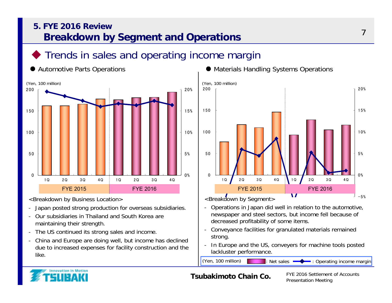### **5. FYE 2016 ReviewBreakdown by Segment and Operations**

## Trends in sales and operating income margin



<Breakdown by Business Location>

- -Japan posted strong production for overseas subsidiaries.
- - Our subsidiaries in Thailand and South Korea are maintaining their strength.
- The US continued its strong sales and income.
- - China and Europe are doing well, but income has declined due to increased expenses for facility construction and the like.





<Breakdown by Segment>

- Operations in Japan did well in relation to the automotive, newspaper and steel sectors, but income fell because of decreased profitability of some items.
- Conveyance facilities for granulated materials remained strong.
- In Europe and the US, conveyers for machine tools posted lackluster performance.

(Yen, 100 million) : Net sales  $\longrightarrow$  : Operating income margin

FYE 2016 Settlement of Accounts Presentation Meeting



#### **Tsubakimoto Chain Co.**

7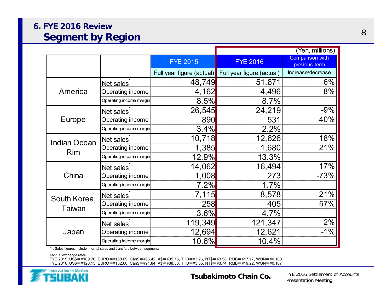### **6. FYE 2016 ReviewSegment by Region**

|                      |                         |                           | (Yen, millions)           |                                         |  |  |
|----------------------|-------------------------|---------------------------|---------------------------|-----------------------------------------|--|--|
|                      |                         | <b>FYE 2015</b>           | <b>FYE 2016</b>           | <b>Comparison with</b><br>previous term |  |  |
|                      |                         | Full year figure (actual) | Full year figure (actual) | Increase/decrease                       |  |  |
|                      | Net sales               | 48,749                    | 51,671                    | $6\%$                                   |  |  |
| America              | Operating income        | 4,162                     | 4,496                     | 8%                                      |  |  |
| Europe<br><b>Rim</b> | Operating income margin | 8.5%                      | 8.7%                      |                                         |  |  |
|                      | Net sales               | 26,545                    | 24,219                    | $-9%$                                   |  |  |
|                      | Operating income        | 890                       | 531                       | $-40%$                                  |  |  |
|                      | Operating income margin | 3.4%                      | 2.2%                      |                                         |  |  |
| <b>Indian Ocean</b>  | Net sales               | 10,718                    | 12,626                    | 18%                                     |  |  |
|                      | Operating income        | 1,385                     | 1,680                     | 21%                                     |  |  |
|                      | Operating income margin | 12.9%                     | 13.3%                     |                                         |  |  |
|                      | Net sales               | 14,062                    | 16,494                    | 17%                                     |  |  |
| China                | Operating income        | 1,008                     | 273                       | $-73%$                                  |  |  |
|                      | Operating income margin | 7.2%                      | 1.7%                      |                                         |  |  |
| South Korea,         | Net sales               | 7,115                     | 8,578                     | 21%                                     |  |  |
|                      | Operating income        | 258                       | 405                       | 57%                                     |  |  |
| Taiwan               | Operating income margin | 3.6%                      | 4.7%                      |                                         |  |  |
|                      | Net sales               | 119,349                   | 121,347                   | 2%                                      |  |  |
| Japan                | Operating income        | 12,694                    | 12,621                    | $-1\%$                                  |  |  |
|                      | Operating income margin | 10.6%                     | 10.4%                     |                                         |  |  |

\*1: Sales figures include internal sales and transfers between segments.

<Actual exchange rate>

FYE 2015:US\$=¥109.76, EURO=¥138.69, Can\$=¥96.42, A\$=¥95.75, THB=¥3.26, NT\$=¥3.58, RMB=¥17.17, WON=¥0.100 FYE 2016:US\$=¥120.15, EURO=¥132.60, Can\$=¥91.84, A\$=¥88.50, THB=¥3.55, NT\$=¥3.74, RMB=¥19.22, WON=¥0.107

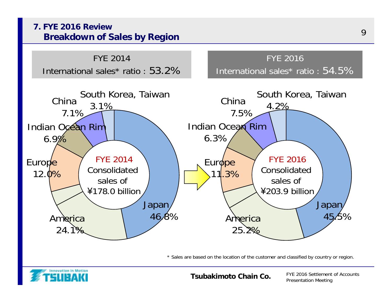

\* Sales are based on the location of the customer and classified by country or region.



**Tsubakimoto Chain Co.**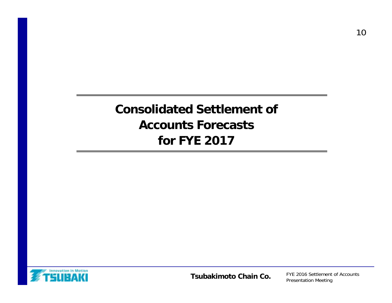# **Consolidated Settlement of Accounts Forecasts for FYE 2017**



**Tsubakimoto Chain Co.**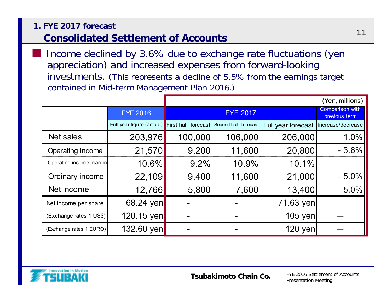#### **1. FYE 2017 forecast**

## **Consolidated Settlement of Accounts**

■ Income declined by 3.6% due to exchange rate fluctuations (yen appreciation) and increased expenses from forward-looking investments. (This represents a decline of 5.5% from the earnings target contained in Mid-term Management Plan 2016.)

|                         |                                               |         |                      |                    | (Yen, millions)   |  |  |
|-------------------------|-----------------------------------------------|---------|----------------------|--------------------|-------------------|--|--|
|                         | <b>FYE 2016</b>                               |         | <b>FYE 2017</b>      |                    |                   |  |  |
|                         | Full year figure (actual) First half forecast |         | Second half forecast | Full year forecast | Increase/decrease |  |  |
| Net sales               | 203,976                                       | 100,000 | 106,000              | 206,000            | 1.0%              |  |  |
| Operating income        | 21,570                                        | 9,200   | 11,600               | 20,800             | $-3.6%$           |  |  |
| Operating income margin | 10.6%                                         | 9.2%    | 10.9%                | 10.1%              |                   |  |  |
| Ordinary income         | 22,109                                        | 9,400   | 11,600               | 21,000             | $-5.0%$           |  |  |
| Net income              | 12,766                                        | 5,800   | 7,600                | 13,400             | 5.0%              |  |  |
| Net income per share    | 68.24 yen                                     |         |                      | 71.63 yen          |                   |  |  |
| (Exchange rates 1 US\$) | 120.15 yen                                    |         |                      | 105 yen            |                   |  |  |
| (Exchange rates 1 EURO) | 132.60 yen                                    |         |                      | 120 yen            |                   |  |  |

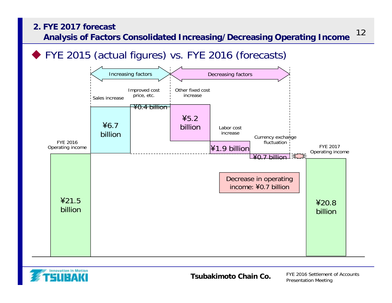#### **2. FYE 2017 forecast**

**Analysis of Factors Consolidated Increasing/Decreasing Operating Income**

◆ FYE 2015 (actual figures) vs. FYE 2016 (forecasts)





**Tsubakimoto Chain Co.**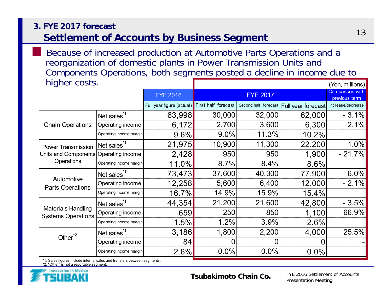#### **3. FYE 2017 forecast**

■

## **Settlement of Accounts by Business Segment**

(Yen, millions) Because of increased production at Automotive Parts Operations and a reorganization of domestic plants in Power Transmission Units and Components Operations, both segments posted a decline in income due to higher costs.

| ັ                       |                           |                     |                                                                                                               |                                         |                                                                                                                                                                 |
|-------------------------|---------------------------|---------------------|---------------------------------------------------------------------------------------------------------------|-----------------------------------------|-----------------------------------------------------------------------------------------------------------------------------------------------------------------|
|                         |                           | <b>FYE 2017</b>     |                                                                                                               | <b>Comparison with</b><br>previous term |                                                                                                                                                                 |
|                         | Full year figure (actual) | First half forecast |                                                                                                               |                                         | Increase/decrease                                                                                                                                               |
| Net sales <sup>1</sup>  |                           |                     |                                                                                                               | 62,000                                  | $-3.1%$                                                                                                                                                         |
| Operating income        | 6,172                     |                     |                                                                                                               | 6,300                                   | 2.1%                                                                                                                                                            |
| Operating income margin |                           | 9.0%                |                                                                                                               | 10.2%                                   |                                                                                                                                                                 |
| Net sales <sup>1</sup>  |                           | 10,900              |                                                                                                               | 22,200                                  | 1.0%                                                                                                                                                            |
| Operating income        |                           | 950                 |                                                                                                               | 1,900                                   | $-21.7%$                                                                                                                                                        |
| Operating income margin | 11.0%                     | 8.7%                |                                                                                                               | 8.6%                                    |                                                                                                                                                                 |
| Net sales <sup>1</sup>  |                           |                     |                                                                                                               | 77,900                                  | $6.0\%$                                                                                                                                                         |
| Operating income        |                           |                     |                                                                                                               | 12,000                                  | $-2.1%$                                                                                                                                                         |
| Operating income margin |                           | 14.9%               |                                                                                                               | 15.4%                                   |                                                                                                                                                                 |
| Net sales <sup>1</sup>  | 44,354                    | 21,200              |                                                                                                               | 42,800                                  | $-3.5%$                                                                                                                                                         |
| Operating income        |                           | 250                 |                                                                                                               | 1,100                                   | 66.9%                                                                                                                                                           |
| Operating income margin | 1.5%                      | 1.2%                |                                                                                                               | 2.6%                                    |                                                                                                                                                                 |
|                         |                           |                     |                                                                                                               | 4,000                                   | 25.5%                                                                                                                                                           |
| Operating income        | 84                        |                     | 0                                                                                                             |                                         |                                                                                                                                                                 |
| Operating income margin | 2.6%                      | 0.0%                | 0.0%                                                                                                          | 0.0%                                    |                                                                                                                                                                 |
|                         | Net sales <sup>*1</sup>   | <b>FYE 2016</b>     | 63,998<br>2,700<br>$9.6\%$<br>21,975<br>2,428<br>73,473<br>37,600<br>12,258<br>5,600<br>16.7%<br>659<br>3,186 | 30,000<br>1,800                         | Second half forecast   Full year forecast<br>32,000<br>3,600<br>11.3%<br>11,300<br>950<br>$8.4\%$<br>40,300<br>6,400<br>15.9%<br>21,600<br>850<br>3.9%<br>2,200 |

\*1: Sales figures include internal sales and transfers between segments.

\*2: "Other" is not a reportable segment.

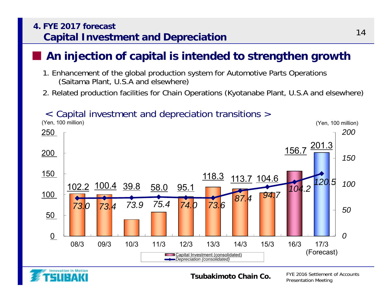### **4. FYE 2017 forecastCapital Investment and Depreciation**

## **An injection of capital is intended to strengthen growth**

- 1. Enhancement of the global production system for Automotive Parts Operations (Saitama Plant, U.S.A and elsewhere)
- 2. Related production facilities for Chain Operations (Kyotanabe Plant, U.S.A and elsewhere)

## < Capital investment and depreciation transitions >





■

#### **Tsubakimoto Chain Co.**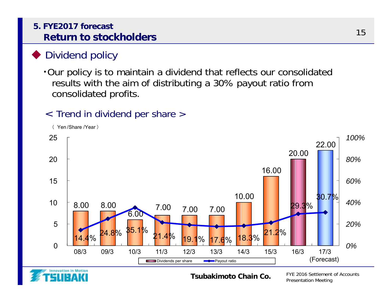### **5. FYE2017 forecastReturn to stockholders**

## Dividend policy

・Our policy is to maintain a dividend that reflects our consolidated results with the aim of distributing a 30% payout ratio from consolidated profits.

## < Trend in dividend per share >





#### **Tsubakimoto Chain Co.**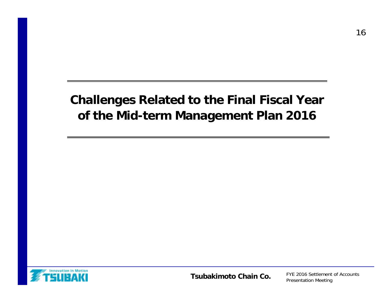# **Challenges Related to the Final Fiscal Year of the Mid-term Management Plan 2016**

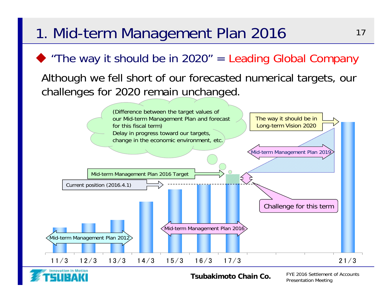# 1. Mid-term Management Plan 2016

# $\blacktriangleright$  "The way it should be in 2020" = Leading Global Company

## Although we fell short of our forecasted numerical targets, our challenges for 2020 remain unchanged.





#### **Tsubakimoto Chain Co.**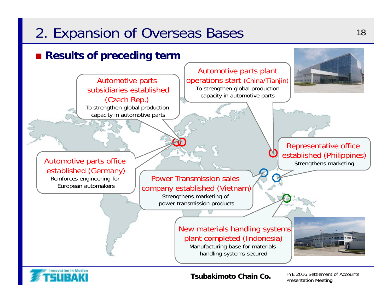# 2. Expansion of Overseas Bases 18

## ■ **Results of preceding term**





**Tsubakimoto Chain Co.**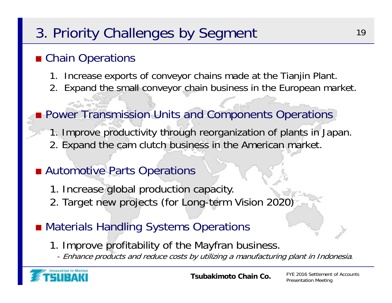# 3. Priority Challenges by Segment 19

# ■ Chain Operations

- 1. Increase exports of conveyor chains made at the Tianjin Plant.
- 2. Expand the small conveyor chain business in the European market.
- Power Transmission Units and Components Operations
	- 1. Improve productivity through reorganization of plants in Japan. 2. Expand the cam clutch business in the American market.

# ■ Automotive Parts Operations

- 1. Increase global production capacity.
- 2. Target new projects (for Long-term Vision 2020)
- Materials Handling Systems Operations
	- 1. Improve profitability of the Mayfran business.
		- Enhance products and reduce costs by utilizing a manufacturing plant in Indonesia.

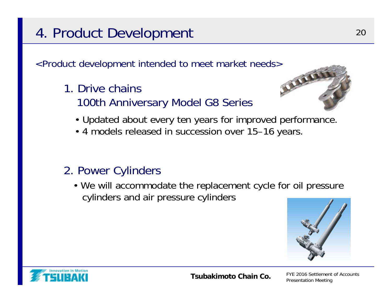# 4. Product Development 20

<Product development intended to meet market needs>

1. Drive chains100th Anniversary Model G8 Series



- Updated about every ten years for improved performance.
- 4 models released in succession over 15–16 years.

## 2. Power Cylinders

• We will accommodate the replacement cycle for oil pressure cylinders and air pressure cylinders



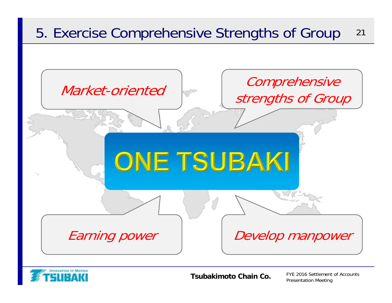



**Tsubakimoto Chain Co.**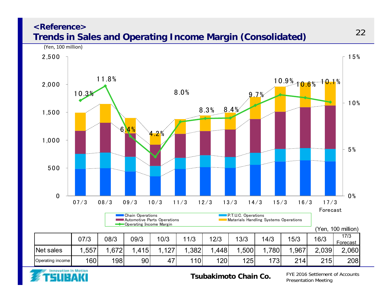#### **<Reference>Trends in Sales and Operating Income Margin (Consolidated)**





**Tsubakimoto Chain Co.**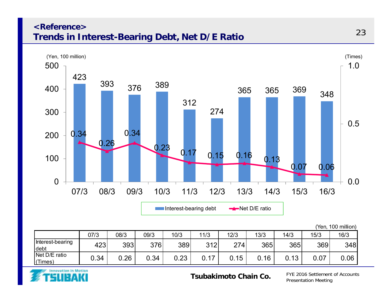#### **<Reference>Trends in Interest-Bearing Debt, Net D/E Ratio**



|                          |      |      |      |      |                |      |      |      | 'Yen, | 100 million) |
|--------------------------|------|------|------|------|----------------|------|------|------|-------|--------------|
|                          | 07/3 | 08/3 | 09/3 | 10/3 | 11/3           | 12/3 | 13/3 | 14/3 | 15/3  | 16/3         |
| Interest-bearing<br>debt | 423' | 393  | 376  | 389  | 312            | 274  | 365  | 365  | 369   | 348          |
| Net D/E ratio<br>(Times) | 0.34 | J.26 | 0.34 | 0.23 | $\overline{1}$ | 0.15 | .16  | .13  | 0.07  | 0.06         |



**Tsubakimoto Chain Co.**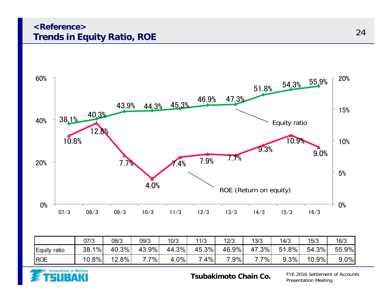#### **<Reference>Trends in Equity Ratio, ROE**



|                 | 07/3         | 08/3     | 09/3  | 10/3         | 11/3  | 12/3    | 13/3         | 14/3                     | 15/3     | 16/3    |
|-----------------|--------------|----------|-------|--------------|-------|---------|--------------|--------------------------|----------|---------|
| Equity<br>ratio | $1\%$<br>38. | 40.3%    | 43.9% | 44.3%        | 45.3% | 46.9%   | $.3\%$<br>47 | $.8\%$<br>5 <sup>1</sup> | 54.3%    | 55.9%   |
| <b>ROE</b>      | $10.8\%$     | $12.8\%$ | $7\%$ | $4.0\%$<br>4 | $4\%$ | $7.9\%$ | $7\%$<br>-   | 9.3%                     | $10.9\%$ | $9.0\%$ |



**Tsubakimoto Chain Co.**